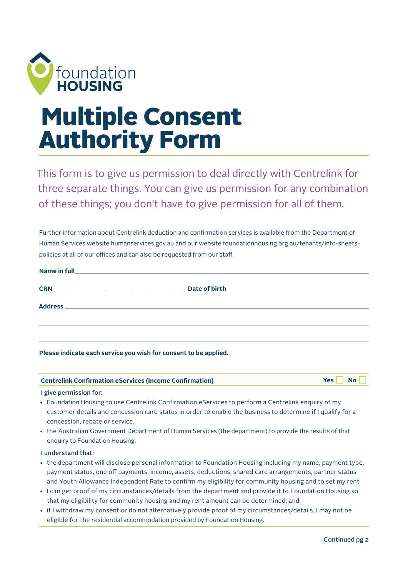

# Multiple Consent Authority Form

This form is to give us permission to deal directly with Centrelink for three separate things. You can give us permission for any combination of these things; you don't have to give permission for all of them.

Further information about Centrelink deduction and confirmation services is available from the Department of Human Services website [humanservices.gov.au](https://www.humanservices.gov.au/) and our website [foundationhousing.org.au/tenants/info-sheets](http://foundationhousing.org.au/tenants/info-sheets-policies/)[policies](http://foundationhousing.org.au/tenants/info-sheets-policies/) at all of our offices and can also be requested from our staff.

| $CRN$ ___ __ __ __ __ __ __ __ __ __                                                                                                    |  |
|-----------------------------------------------------------------------------------------------------------------------------------------|--|
|                                                                                                                                         |  |
|                                                                                                                                         |  |
| <b>Address</b><br><u> 1989 - Jacques Alexander de la contrada de la contrada de la contrada de la contrada de la contrada de la con</u> |  |
|                                                                                                                                         |  |
|                                                                                                                                         |  |
|                                                                                                                                         |  |
|                                                                                                                                         |  |
|                                                                                                                                         |  |

**Please indicate each service you wish for consent to be applied.** 

| <b>Centrelink Confirmation eServices (Income Confirmation)</b> | Yes $\Box$ No $\Box$ |
|----------------------------------------------------------------|----------------------|
|                                                                |                      |

I give permission for:

- Foundation Housing to use Centrelink Confirmation eServices to perform a Centrelink enquiry of my customer details and concession card status in order to enable the business to determine if I qualify for a concession, rebate or service.
- the Australian Government Department of Human Services (the department) to provide the results of that enquiry to Foundation Housing.

## I understand that:

- the department will disclose personal information to Foundation Housing including my name, payment type, payment status, one off payments, income, assets, deductions, shared care arrangements, partner status and Youth Allowance Independent Rate to confirm my eligibility for community housing and to set my rent
- I can get proof of my circumstances/details from the department and provide it to Foundation Housing so that my eligibility for community housing and my rent amount can be determined; and
- if I withdraw my consent or do not alternatively provide proof of my circumstances/details, I may not be eligible for the residential accommodation provided by Foundation Housing.